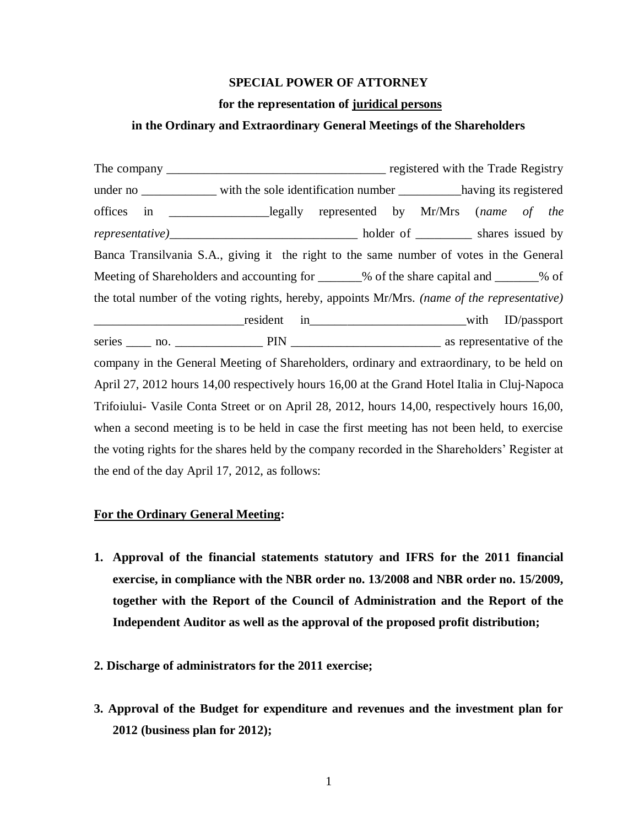### **SPECIAL POWER OF ATTORNEY**

### **for the representation of juridical persons**

## **in the Ordinary and Extraordinary General Meetings of the Shareholders**

The company \_\_\_\_\_\_\_\_\_\_\_\_\_\_\_\_\_\_\_\_\_\_\_\_\_\_\_\_\_\_\_\_\_\_\_ registered with the Trade Registry under no with the sole identification number having its registered offices in \_\_\_\_\_\_\_\_\_\_\_\_\_\_\_\_legally represented by Mr/Mrs (*name of the representative)*\_\_\_\_\_\_\_\_\_\_\_\_\_\_\_\_\_\_\_\_\_\_\_\_\_\_\_\_\_\_ holder of \_\_\_\_\_\_\_\_\_ shares issued by Banca Transilvania S.A., giving it the right to the same number of votes in the General Meeting of Shareholders and accounting for  $\%$  of the share capital and  $\%$  of the total number of the voting rights, hereby, appoints Mr/Mrs. *(name of the representative)* \_\_\_\_\_\_\_\_\_\_\_\_\_\_\_\_\_\_\_\_\_\_\_\_resident in\_\_\_\_\_\_\_\_\_\_\_\_\_\_\_\_\_\_\_\_\_\_\_\_\_with ID/passport series \_\_\_\_ no. \_\_\_\_\_\_\_\_\_\_\_\_\_\_ PIN \_\_\_\_\_\_\_\_\_\_\_\_\_\_\_\_\_\_\_\_\_\_\_\_ as representative of the company in the General Meeting of Shareholders, ordinary and extraordinary, to be held on April 27, 2012 hours 14,00 respectively hours 16,00 at the Grand Hotel Italia in Cluj-Napoca Trifoiului- Vasile Conta Street or on April 28, 2012, hours 14,00, respectively hours 16,00, when a second meeting is to be held in case the first meeting has not been held, to exercise the voting rights for the shares held by the company recorded in the Shareholders' Register at the end of the day April 17, 2012, as follows:

## **For the Ordinary General Meeting:**

- **1. Approval of the financial statements statutory and IFRS for the 2011 financial exercise, in compliance with the NBR order no. 13/2008 and NBR order no. 15/2009, together with the Report of the Council of Administration and the Report of the Independent Auditor as well as the approval of the proposed profit distribution;**
- **2. Discharge of administrators for the 2011 exercise;**
- **3. Approval of the Budget for expenditure and revenues and the investment plan for 2012 (business plan for 2012);**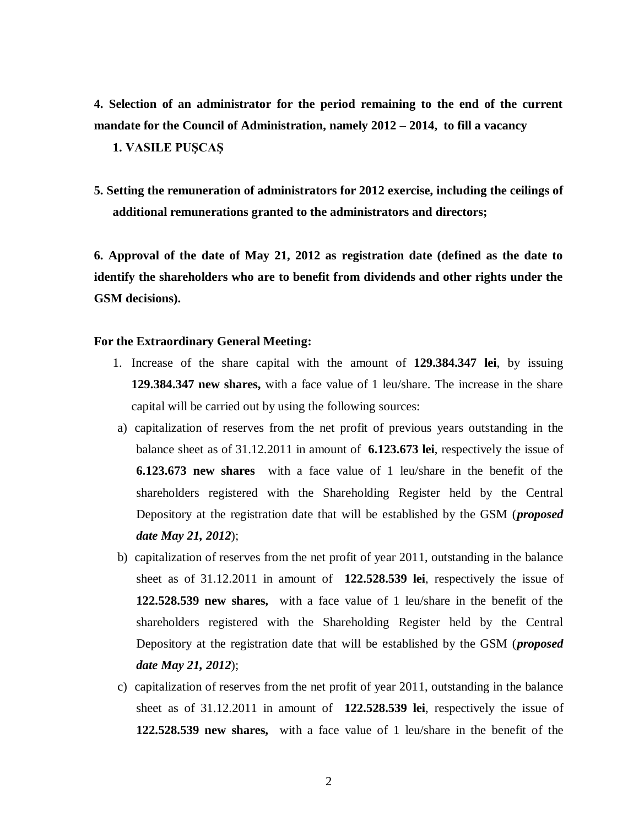**4. Selection of an administrator for the period remaining to the end of the current mandate for the Council of Administration, namely 2012 – 2014, to fill a vacancy 1. VASILE PUŞCAŞ**

**5. Setting the remuneration of administrators for 2012 exercise, including the ceilings of additional remunerations granted to the administrators and directors;** 

**6. Approval of the date of May 21, 2012 as registration date (defined as the date to identify the shareholders who are to benefit from dividends and other rights under the GSM decisions).**

# **For the Extraordinary General Meeting:**

- 1. Increase of the share capital with the amount of **129.384.347 lei**, by issuing **129.384.347 new shares,** with a face value of 1 leu/share. The increase in the share capital will be carried out by using the following sources:
- a) capitalization of reserves from the net profit of previous years outstanding in the balance sheet as of 31.12.2011 in amount of **6.123.673 lei**, respectively the issue of **6.123.673 new shares** with a face value of 1 leu/share in the benefit of the shareholders registered with the Shareholding Register held by the Central Depository at the registration date that will be established by the GSM (*proposed date May 21, 2012*);
- b) capitalization of reserves from the net profit of year 2011, outstanding in the balance sheet as of 31.12.2011 in amount of **122.528.539 lei**, respectively the issue of **122.528.539 new shares,** with a face value of 1 leu/share in the benefit of the shareholders registered with the Shareholding Register held by the Central Depository at the registration date that will be established by the GSM (*proposed date May 21, 2012*);
- c) capitalization of reserves from the net profit of year 2011, outstanding in the balance sheet as of 31.12.2011 in amount of **122.528.539 lei**, respectively the issue of **122.528.539 new shares,** with a face value of 1 leu/share in the benefit of the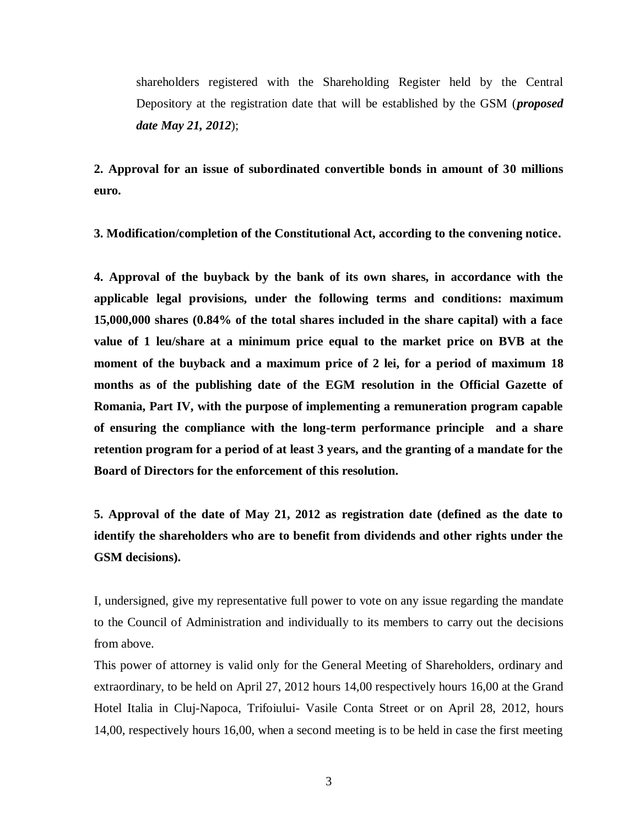shareholders registered with the Shareholding Register held by the Central Depository at the registration date that will be established by the GSM (*proposed date May 21, 2012*);

**2. Approval for an issue of subordinated convertible bonds in amount of 30 millions euro.**

**3. Modification/completion of the Constitutional Act, according to the convening notice.**

**4. Approval of the buyback by the bank of its own shares, in accordance with the applicable legal provisions, under the following terms and conditions: maximum 15,000,000 shares (0.84% of the total shares included in the share capital) with a face value of 1 leu/share at a minimum price equal to the market price on BVB at the moment of the buyback and a maximum price of 2 lei, for a period of maximum 18 months as of the publishing date of the EGM resolution in the Official Gazette of Romania, Part IV, with the purpose of implementing a remuneration program capable of ensuring the compliance with the long-term performance principle and a share retention program for a period of at least 3 years, and the granting of a mandate for the Board of Directors for the enforcement of this resolution.** 

**5. Approval of the date of May 21, 2012 as registration date (defined as the date to identify the shareholders who are to benefit from dividends and other rights under the GSM decisions).** 

I, undersigned, give my representative full power to vote on any issue regarding the mandate to the Council of Administration and individually to its members to carry out the decisions from above.

This power of attorney is valid only for the General Meeting of Shareholders, ordinary and extraordinary, to be held on April 27, 2012 hours 14,00 respectively hours 16,00 at the Grand Hotel Italia in Cluj-Napoca, Trifoiului- Vasile Conta Street or on April 28, 2012, hours 14,00, respectively hours 16,00, when a second meeting is to be held in case the first meeting